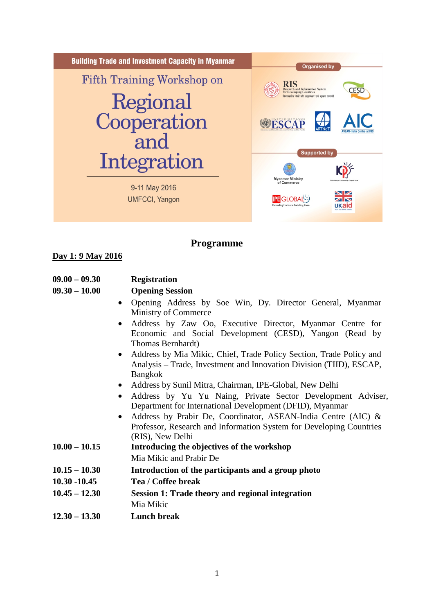

# **Programme**

### **Day 1: 9 May 2016**

| $09.00 - 09.30$ | <b>Registration</b> |
|-----------------|---------------------|
|-----------------|---------------------|

#### **09.30 – 10.00 Opening Session**

- Opening Address by Soe Win, Dy. Director General, Myanmar Ministry of Commerce
- Address by Zaw Oo, Executive Director, Myanmar Centre for Economic and Social Development (CESD), Yangon (Read by Thomas Bernhardt)
- Address by Mia Mikic, Chief, Trade Policy Section, Trade Policy and Analysis – Trade, Investment and Innovation Division (TIID), ESCAP, Bangkok
- Address by Sunil Mitra, Chairman, IPE-Global, New Delhi
- Address by Yu Yu Naing, Private Sector Development Adviser, Department for International Development (DFID), Myanmar
- Address by Prabir De, Coordinator, ASEAN-India Centre (AIC) & Professor, Research and Information System for Developing Countries (RIS), New Delhi
- **10.00 – 10.15 Introducing the objectives of the workshop**  Mia Mikic and Prabir De
- **10.15 – 10.30 Introduction of the participants and a group photo**
- **10.30 -10.45 Tea / Coffee break**
- **10.45 – 12.30 Session 1: Trade theory and regional integration** Mia Mikic
- **12.30 – 13.30 Lunch break**